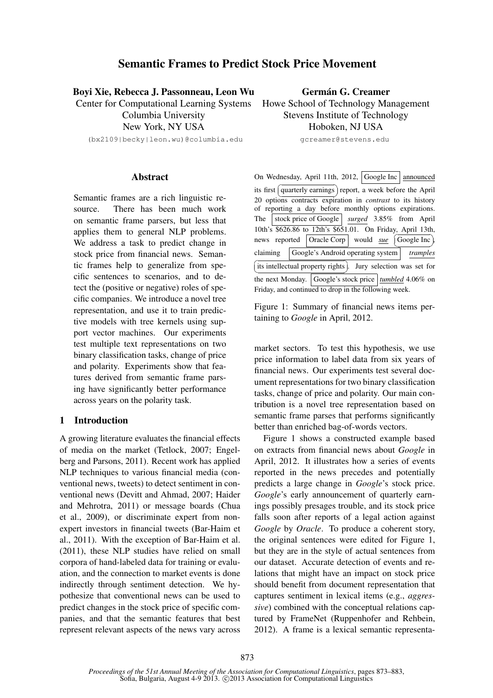# Semantic Frames to Predict Stock Price Movement

Boyi Xie, Rebecca J. Passonneau, Leon Wu

Center for Computational Learning Systems

Columbia University New York, NY USA

(bx2109|becky|leon.wu)@columbia.edu

Germán G. Creamer Howe School of Technology Management Stevens Institute of Technology

Hoboken, NJ USA

gcreamer@stevens.edu

# Abstract

Semantic frames are a rich linguistic resource. There has been much work on semantic frame parsers, but less that applies them to general NLP problems. We address a task to predict change in stock price from financial news. Semantic frames help to generalize from specific sentences to scenarios, and to detect the (positive or negative) roles of specific companies. We introduce a novel tree representation, and use it to train predictive models with tree kernels using support vector machines. Our experiments test multiple text representations on two binary classification tasks, change of price and polarity. Experiments show that features derived from semantic frame parsing have significantly better performance across years on the polarity task.

## 1 Introduction

A growing literature evaluates the financial effects of media on the market (Tetlock, 2007; Engelberg and Parsons, 2011). Recent work has applied NLP techniques to various financial media (conventional news, tweets) to detect sentiment in conventional news (Devitt and Ahmad, 2007; Haider and Mehrotra, 2011) or message boards (Chua et al., 2009), or discriminate expert from nonexpert investors in financial tweets (Bar-Haim et al., 2011). With the exception of Bar-Haim et al. (2011), these NLP studies have relied on small corpora of hand-labeled data for training or evaluation, and the connection to market events is done indirectly through sentiment detection. We hypothesize that conventional news can be used to predict changes in the stock price of specific companies, and that the semantic features that best represent relevant aspects of the news vary across On Wednesday, April 11th, 2012, Google Inc announced its first quarterly earnings report, a week before the April ✝ ✆ 20 options contracts expiration in *contrast* to its history of reporting a day before monthly options expirations. The stock price of Google *surged* 3.85% from April 10th's \$626.86 to 12th's \$651.01. On Friday, April 13th, news reported **Oracle Corp**  $\sqrt{\frac{1 \text{ }}{1 \text{ }} \text{Gogle Inc}}$ , ✝ claiming Google's Android operating system *tramples* ✆ its intellectual property rights). Jury selection was set for the next Monday. Google's stock price umbled 4.06% on Friday, and continued to drop in the following week.

Figure 1: Summary of financial news items pertaining to *Google* in April, 2012.

market sectors. To test this hypothesis, we use price information to label data from six years of financial news. Our experiments test several document representations for two binary classification tasks, change of price and polarity. Our main contribution is a novel tree representation based on semantic frame parses that performs significantly better than enriched bag-of-words vectors.

Figure 1 shows a constructed example based on extracts from financial news about *Google* in April, 2012. It illustrates how a series of events reported in the news precedes and potentially predicts a large change in *Google*'s stock price. *Google*'s early announcement of quarterly earnings possibly presages trouble, and its stock price falls soon after reports of a legal action against *Google* by *Oracle*. To produce a coherent story, the original sentences were edited for Figure 1, but they are in the style of actual sentences from our dataset. Accurate detection of events and relations that might have an impact on stock price should benefit from document representation that captures sentiment in lexical items (e.g., *aggressive*) combined with the conceptual relations captured by FrameNet (Ruppenhofer and Rehbein, 2012). A frame is a lexical semantic representa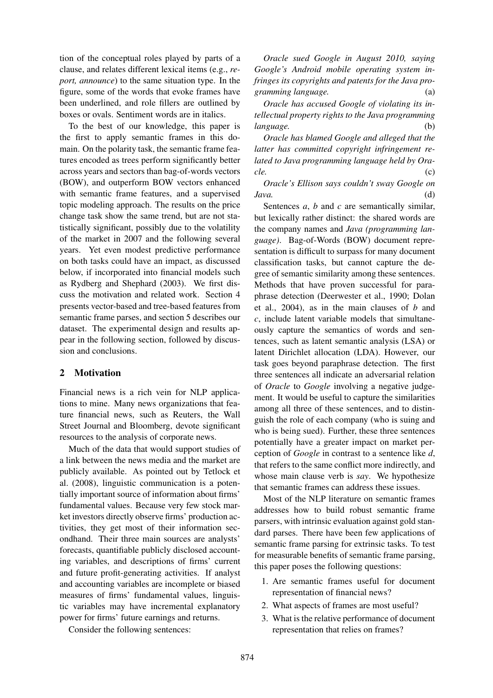tion of the conceptual roles played by parts of a clause, and relates different lexical items (e.g., *report, announce*) to the same situation type. In the figure, some of the words that evoke frames have been underlined, and role fillers are outlined by boxes or ovals. Sentiment words are in italics.

To the best of our knowledge, this paper is the first to apply semantic frames in this domain. On the polarity task, the semantic frame features encoded as trees perform significantly better across years and sectors than bag-of-words vectors (BOW), and outperform BOW vectors enhanced with semantic frame features, and a supervised topic modeling approach. The results on the price change task show the same trend, but are not statistically significant, possibly due to the volatility of the market in 2007 and the following several years. Yet even modest predictive performance on both tasks could have an impact, as discussed below, if incorporated into financial models such as Rydberg and Shephard (2003). We first discuss the motivation and related work. Section 4 presents vector-based and tree-based features from semantic frame parses, and section 5 describes our dataset. The experimental design and results appear in the following section, followed by discussion and conclusions.

### 2 Motivation

Financial news is a rich vein for NLP applications to mine. Many news organizations that feature financial news, such as Reuters, the Wall Street Journal and Bloomberg, devote significant resources to the analysis of corporate news.

Much of the data that would support studies of a link between the news media and the market are publicly available. As pointed out by Tetlock et al. (2008), linguistic communication is a potentially important source of information about firms' fundamental values. Because very few stock market investors directly observe firms' production activities, they get most of their information secondhand. Their three main sources are analysts' forecasts, quantifiable publicly disclosed accounting variables, and descriptions of firms' current and future profit-generating activities. If analyst and accounting variables are incomplete or biased measures of firms' fundamental values, linguistic variables may have incremental explanatory power for firms' future earnings and returns.

Consider the following sentences:

*Oracle sued Google in August 2010, saying Google's Android mobile operating system infringes its copyrights and patents for the Java programming language.* (a)

*Oracle has accused Google of violating its intellectual property rights to the Java programming language.* (b)

*Oracle has blamed Google and alleged that the latter has committed copyright infringement related to Java programming language held by Oracle.* (c)

*Oracle's Ellison says couldn't sway Google on Java.* (d)

Sentences *a*, *b* and *c* are semantically similar, but lexically rather distinct: the shared words are the company names and *Java (programming language)*. Bag-of-Words (BOW) document representation is difficult to surpass for many document classification tasks, but cannot capture the degree of semantic similarity among these sentences. Methods that have proven successful for paraphrase detection (Deerwester et al., 1990; Dolan et al., 2004), as in the main clauses of *b* and *c*, include latent variable models that simultaneously capture the semantics of words and sentences, such as latent semantic analysis (LSA) or latent Dirichlet allocation (LDA). However, our task goes beyond paraphrase detection. The first three sentences all indicate an adversarial relation of *Oracle* to *Google* involving a negative judgement. It would be useful to capture the similarities among all three of these sentences, and to distinguish the role of each company (who is suing and who is being sued). Further, these three sentences potentially have a greater impact on market perception of *Google* in contrast to a sentence like *d*, that refers to the same conflict more indirectly, and whose main clause verb is *say*. We hypothesize that semantic frames can address these issues.

Most of the NLP literature on semantic frames addresses how to build robust semantic frame parsers, with intrinsic evaluation against gold standard parses. There have been few applications of semantic frame parsing for extrinsic tasks. To test for measurable benefits of semantic frame parsing, this paper poses the following questions:

- 1. Are semantic frames useful for document representation of financial news?
- 2. What aspects of frames are most useful?
- 3. What is the relative performance of document representation that relies on frames?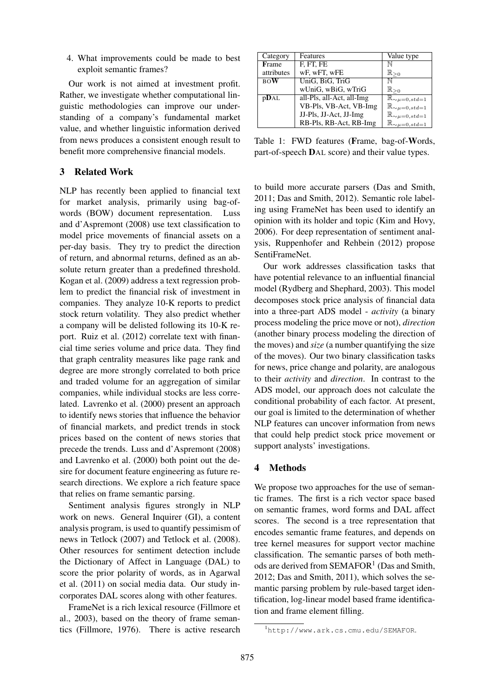4. What improvements could be made to best exploit semantic frames?

Our work is not aimed at investment profit. Rather, we investigate whether computational linguistic methodologies can improve our understanding of a company's fundamental market value, and whether linguistic information derived from news produces a consistent enough result to benefit more comprehensive financial models.

# 3 Related Work

NLP has recently been applied to financial text for market analysis, primarily using bag-ofwords (BOW) document representation. Luss and d'Aspremont (2008) use text classification to model price movements of financial assets on a per-day basis. They try to predict the direction of return, and abnormal returns, defined as an absolute return greater than a predefined threshold. Kogan et al. (2009) address a text regression problem to predict the financial risk of investment in companies. They analyze 10-K reports to predict stock return volatility. They also predict whether a company will be delisted following its 10-K report. Ruiz et al. (2012) correlate text with financial time series volume and price data. They find that graph centrality measures like page rank and degree are more strongly correlated to both price and traded volume for an aggregation of similar companies, while individual stocks are less correlated. Lavrenko et al. (2000) present an approach to identify news stories that influence the behavior of financial markets, and predict trends in stock prices based on the content of news stories that precede the trends. Luss and d'Aspremont (2008) and Lavrenko et al. (2000) both point out the desire for document feature engineering as future research directions. We explore a rich feature space that relies on frame semantic parsing.

Sentiment analysis figures strongly in NLP work on news. General Inquirer (GI), a content analysis program, is used to quantify pessimism of news in Tetlock (2007) and Tetlock et al. (2008). Other resources for sentiment detection include the Dictionary of Affect in Language (DAL) to score the prior polarity of words, as in Agarwal et al. (2011) on social media data. Our study incorporates DAL scores along with other features.

FrameNet is a rich lexical resource (Fillmore et al., 2003), based on the theory of frame semantics (Fillmore, 1976). There is active research

| Category   | Features                  | Value type                       |
|------------|---------------------------|----------------------------------|
| Frame      | F, FT, FE                 |                                  |
| attributes | wF, wFT, wFE              | $\mathbb{R}_{\geq 0}$            |
| <b>BOW</b> | UniG, BiG, TriG           | N                                |
|            | wUniG, wBiG, wTriG        | $\mathbb{R}_{\geq 0}$            |
| pDAL       | all-Pls, all-Act, all-Img | $\mathbb{R}_{\sim\mu=0,std=1}$   |
|            | VB-Pls, VB-Act, VB-Img    | $\mathbb{R}_{\sim\mu=0,std=1}$   |
|            | JJ-Pls, JJ-Act, JJ-Img    | $\mathbb{R}_{\sim \mu=0, std=1}$ |
|            | RB-Pls, RB-Act, RB-Img    | $\mathbb{R}_{\sim \mu=0, std=1}$ |

Table 1: FWD features (Frame, bag-of-Words, part-of-speech DAL score) and their value types.

to build more accurate parsers (Das and Smith, 2011; Das and Smith, 2012). Semantic role labeling using FrameNet has been used to identify an opinion with its holder and topic (Kim and Hovy, 2006). For deep representation of sentiment analysis, Ruppenhofer and Rehbein (2012) propose SentiFrameNet.

Our work addresses classification tasks that have potential relevance to an influential financial model (Rydberg and Shephard, 2003). This model decomposes stock price analysis of financial data into a three-part ADS model - *activity* (a binary process modeling the price move or not), *direction* (another binary process modeling the direction of the moves) and *size* (a number quantifying the size of the moves). Our two binary classification tasks for news, price change and polarity, are analogous to their *activity* and *direction*. In contrast to the ADS model, our approach does not calculate the conditional probability of each factor. At present, our goal is limited to the determination of whether NLP features can uncover information from news that could help predict stock price movement or support analysts' investigations.

# 4 Methods

We propose two approaches for the use of semantic frames. The first is a rich vector space based on semantic frames, word forms and DAL affect scores. The second is a tree representation that encodes semantic frame features, and depends on tree kernel measures for support vector machine classification. The semantic parses of both methods are derived from SEMAFOR<sup>1</sup> (Das and Smith, 2012; Das and Smith, 2011), which solves the semantic parsing problem by rule-based target identification, log-linear model based frame identification and frame element filling.

<sup>1</sup>http://www.ark.cs.cmu.edu/SEMAFOR.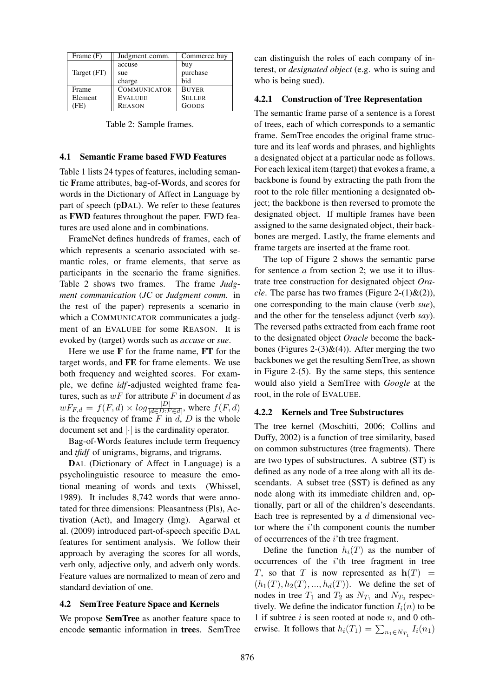| Frame $(F)$    | Judgment_comm.      | Commerce_buy  |
|----------------|---------------------|---------------|
|                | accuse              | buy           |
| Target (FT)    | sue                 | purchase      |
|                | charge              | bid           |
| Frame          | <b>COMMUNICATOR</b> | <b>BUYER</b>  |
| Element        | <b>EVALUEE</b>      | <b>SELLER</b> |
| F <sub>E</sub> | <b>REASON</b>       | GOODS         |

Table 2: Sample frames.

#### 4.1 Semantic Frame based FWD Features

Table 1 lists 24 types of features, including semantic Frame attributes, bag-of-Words, and scores for words in the Dictionary of Affect in Language by part of speech (pDAL). We refer to these features as FWD features throughout the paper. FWD features are used alone and in combinations.

FrameNet defines hundreds of frames, each of which represents a scenario associated with semantic roles, or frame elements, that serve as participants in the scenario the frame signifies. Table 2 shows two frames. The frame *Judgment communication* (*JC* or *Judgment comm.* in the rest of the paper) represents a scenario in which a COMMUNICATOR communicates a judgment of an EVALUEE for some REASON. It is evoked by (target) words such as *accuse* or *sue*.

Here we use  $F$  for the frame name,  $FT$  for the target words, and FE for frame elements. We use both frequency and weighted scores. For example, we define *idf*-adjusted weighted frame features, such as  $wF$  for attribute F in document d as  $wF_{F,d} = f(F,d) \times log \frac{|D|}{|d \in D \cdot F \in d|}$ , where  $f(F,d)$ is the frequency of frame  $F$  in  $d$ ,  $D$  is the whole document set and |·| is the cardinality operator.

Bag-of-Words features include term frequency and *tfidf* of unigrams, bigrams, and trigrams.

DAL (Dictionary of Affect in Language) is a psycholinguistic resource to measure the emotional meaning of words and texts (Whissel, 1989). It includes 8,742 words that were annotated for three dimensions: Pleasantness (Pls), Activation (Act), and Imagery (Img). Agarwal et al. (2009) introduced part-of-speech specific DAL features for sentiment analysis. We follow their approach by averaging the scores for all words, verb only, adjective only, and adverb only words. Feature values are normalized to mean of zero and standard deviation of one.

### 4.2 SemTree Feature Space and Kernels

We propose SemTree as another feature space to encode semantic information in trees. SemTree can distinguish the roles of each company of interest, or *designated object* (e.g. who is suing and who is being sued).

#### 4.2.1 Construction of Tree Representation

The semantic frame parse of a sentence is a forest of trees, each of which corresponds to a semantic frame. SemTree encodes the original frame structure and its leaf words and phrases, and highlights a designated object at a particular node as follows. For each lexical item (target) that evokes a frame, a backbone is found by extracting the path from the root to the role filler mentioning a designated object; the backbone is then reversed to promote the designated object. If multiple frames have been assigned to the same designated object, their backbones are merged. Lastly, the frame elements and frame targets are inserted at the frame root.

The top of Figure 2 shows the semantic parse for sentence *a* from section 2; we use it to illustrate tree construction for designated object *Oracle*. The parse has two frames (Figure 2-(1) $\&$ (2)), one corresponding to the main clause (verb *sue*), and the other for the tenseless adjunct (verb *say*). The reversed paths extracted from each frame root to the designated object *Oracle* become the backbones (Figures 2-(3) $\&$ (4)). After merging the two backbones we get the resulting SemTree, as shown in Figure 2-(5). By the same steps, this sentence would also yield a SemTree with *Google* at the root, in the role of EVALUEE.

#### 4.2.2 Kernels and Tree Substructures

The tree kernel (Moschitti, 2006; Collins and Duffy, 2002) is a function of tree similarity, based on common substructures (tree fragments). There are two types of substructures. A subtree (ST) is defined as any node of a tree along with all its descendants. A subset tree (SST) is defined as any node along with its immediate children and, optionally, part or all of the children's descendants. Each tree is represented by a  $d$  dimensional vector where the  $i$ 'th component counts the number of occurrences of the  $i$ 'th tree fragment.

Define the function  $h_i(T)$  as the number of occurrences of the  $i$ 'th tree fragment in tree T, so that T is now represented as  $h(T)$  =  $(h_1(T), h_2(T), ..., h_d(T))$ . We define the set of nodes in tree  $T_1$  and  $T_2$  as  $N_{T_1}$  and  $N_{T_2}$  respectively. We define the indicator function  $I_i(n)$  to be 1 if subtree  $i$  is seen rooted at node  $n$ , and 0 otherwise. It follows that  $h_i(T_1) = \sum_{n_1 \in N_{T_1}} I_i(n_1)$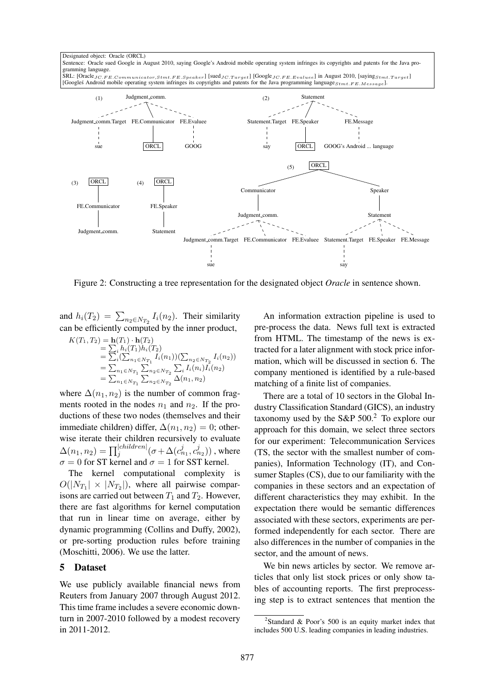Designated object: Oracle (ORCL) Sentence: Oracle sued Google in August 2010, saying Google's Android mobile operating system infringes its copyrights and patents for the Java programming language.

SRL: [OracleJC.FE.Communicator,Stmt.FE.Speaker] [SuedJC.Target] [GoogleJC.FE.Evaluee] in August 2010, [sayingStmt.Target] [Googles Android mobile operating system infringes its copyrights and patents for the Java programming language  $_{Stmt, FE. Message}$ 



Figure 2: Constructing a tree representation for the designated object *Oracle* in sentence shown.

and  $h_i(T_2) = \sum_{n_2 \in N_{T_2}} I_i(n_2)$ . Their similarity can be efficiently computed by the inner product,

$$
K(T_1, T_2) = \mathbf{h}(T_1) \cdot \mathbf{h}(T_2)
$$
  
=  $\sum_i h_i(T_1) h_i(T_2)$   
=  $\sum_i (\sum_{n_1 \in N_{T_1}} I_i(n_1)) (\sum_{n_2 \in N_{T_2}} I_i(n_2))$   
=  $\sum_{n_1 \in N_{T_1}} \sum_{n_2 \in N_{T_2}} \sum_i I_i(n_i) I_i(n_2)$   
=  $\sum_{n_1 \in N_{T_1}} \sum_{n_2 \in N_{T_2}} \Delta(n_1, n_2)$ 

where  $\Delta(n_1, n_2)$  is the number of common fragments rooted in the nodes  $n_1$  and  $n_2$ . If the productions of these two nodes (themselves and their immediate children) differ,  $\Delta(n_1, n_2) = 0$ ; otherwise iterate their children recursively to evaluate  $\Delta(n_1,n_2)=\prod_{j}^{|children|}(\sigma+\Delta(c_{n_1}^j,c_{n_2}^j))$  , where  $\sigma = 0$  for ST kernel and  $\sigma = 1$  for SST kernel.

The kernel computational complexity is  $O(|N_{T_1}| \times |N_{T_2}|)$ , where all pairwise comparisons are carried out between  $T_1$  and  $T_2$ . However, there are fast algorithms for kernel computation that run in linear time on average, either by dynamic programming (Collins and Duffy, 2002), or pre-sorting production rules before training (Moschitti, 2006). We use the latter.

### 5 Dataset

We use publicly available financial news from Reuters from January 2007 through August 2012. This time frame includes a severe economic downturn in 2007-2010 followed by a modest recovery in 2011-2012.

An information extraction pipeline is used to pre-process the data. News full text is extracted from HTML. The timestamp of the news is extracted for a later alignment with stock price information, which will be discussed in section 6. The company mentioned is identified by a rule-based matching of a finite list of companies.

There are a total of 10 sectors in the Global Industry Classification Standard (GICS), an industry taxonomy used by the S&P  $500<sup>2</sup>$  To explore our approach for this domain, we select three sectors for our experiment: Telecommunication Services (TS, the sector with the smallest number of companies), Information Technology (IT), and Consumer Staples (CS), due to our familiarity with the companies in these sectors and an expectation of different characteristics they may exhibit. In the expectation there would be semantic differences associated with these sectors, experiments are performed independently for each sector. There are also differences in the number of companies in the sector, and the amount of news.

We bin news articles by sector. We remove articles that only list stock prices or only show tables of accounting reports. The first preprocessing step is to extract sentences that mention the

<sup>&</sup>lt;sup>2</sup>Standard & Poor's 500 is an equity market index that includes 500 U.S. leading companies in leading industries.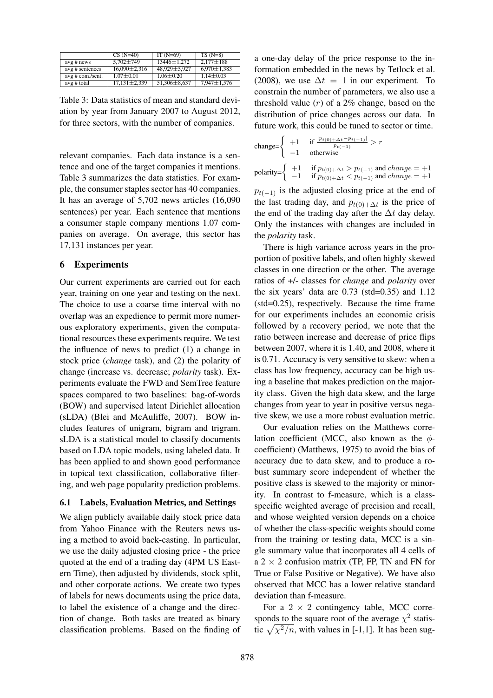|                  | $CS(N=40)$         | IT $(N=69)$     | $TS(N=8)$         |
|------------------|--------------------|-----------------|-------------------|
| $avg \# news$    | $5.702 \pm 749$    | 13446±1.272     | $2.177 \pm 188$   |
| avg # sentences  | $16,090 \pm 2,316$ | 48,929±5,927    | $6,970 \pm 1,383$ |
| avg # com./sent. | $1.07 \pm 0.01$    | $1.06 \pm 0.20$ | $1.14 \pm 0.03$   |
| avg # total      | $17,131 \pm 2,339$ | 51,306±8,637    | $7,947 \pm 1,576$ |

Table 3: Data statistics of mean and standard deviation by year from January 2007 to August 2012, for three sectors, with the number of companies.

relevant companies. Each data instance is a sentence and one of the target companies it mentions. Table 3 summarizes the data statistics. For example, the consumer staples sector has 40 companies. It has an average of 5,702 news articles (16,090 sentences) per year. Each sentence that mentions a consumer staple company mentions 1.07 companies on average. On average, this sector has 17,131 instances per year.

### 6 Experiments

Our current experiments are carried out for each year, training on one year and testing on the next. The choice to use a coarse time interval with no overlap was an expedience to permit more numerous exploratory experiments, given the computational resources these experiments require. We test the influence of news to predict (1) a change in stock price (*change* task), and (2) the polarity of change (increase vs. decrease; *polarity* task). Experiments evaluate the FWD and SemTree feature spaces compared to two baselines: bag-of-words (BOW) and supervised latent Dirichlet allocation (sLDA) (Blei and McAuliffe, 2007). BOW includes features of unigram, bigram and trigram. sLDA is a statistical model to classify documents based on LDA topic models, using labeled data. It has been applied to and shown good performance in topical text classification, collaborative filtering, and web page popularity prediction problems.

#### 6.1 Labels, Evaluation Metrics, and Settings

We align publicly available daily stock price data from Yahoo Finance with the Reuters news using a method to avoid back-casting. In particular, we use the daily adjusted closing price - the price quoted at the end of a trading day (4PM US Eastern Time), then adjusted by dividends, stock split, and other corporate actions. We create two types of labels for news documents using the price data, to label the existence of a change and the direction of change. Both tasks are treated as binary classification problems. Based on the finding of a one-day delay of the price response to the information embedded in the news by Tetlock et al. (2008), we use  $\Delta t = 1$  in our experiment. To constrain the number of parameters, we also use a threshold value  $(r)$  of a 2% change, based on the distribution of price changes across our data. In future work, this could be tuned to sector or time.

change=
$$
\begin{cases}\n+1 & \text{if } \frac{|p_{t(0)+\Delta t} - p_{t(-1)}|}{p_{t(-1)}} > r \\
-1 & \text{otherwise}\n\end{cases}
$$
\npolarity=
$$
\begin{cases}\n+1 & \text{if } p_{t(0)+\Delta t} > p_{t(-1)} \text{ and } change = +1 \\
-1 & \text{if } p_{t(0)+\Delta t} < p_{t(-1)} \text{ and } change = +1\n\end{cases}
$$

 $p_{t(-1)}$  is the adjusted closing price at the end of the last trading day, and  $p_{t(0)+\Delta t}$  is the price of the end of the trading day after the  $\Delta t$  day delay. Only the instances with changes are included in the *polarity* task.

There is high variance across years in the proportion of positive labels, and often highly skewed classes in one direction or the other. The average ratios of +/- classes for *change* and *polarity* over the six years' data are  $0.73$  (std=0.35) and  $1.12$ (std=0.25), respectively. Because the time frame for our experiments includes an economic crisis followed by a recovery period, we note that the ratio between increase and decrease of price flips between 2007, where it is 1.40, and 2008, where it is 0.71. Accuracy is very sensitive to skew: when a class has low frequency, accuracy can be high using a baseline that makes prediction on the majority class. Given the high data skew, and the large changes from year to year in positive versus negative skew, we use a more robust evaluation metric.

Our evaluation relies on the Matthews correlation coefficient (MCC, also known as the  $\phi$ coefficient) (Matthews, 1975) to avoid the bias of accuracy due to data skew, and to produce a robust summary score independent of whether the positive class is skewed to the majority or minority. In contrast to f-measure, which is a classspecific weighted average of precision and recall, and whose weighted version depends on a choice of whether the class-specific weights should come from the training or testing data, MCC is a single summary value that incorporates all 4 cells of a  $2 \times 2$  confusion matrix (TP, FP, TN and FN for True or False Positive or Negative). We have also observed that MCC has a lower relative standard deviation than f-measure.

For a  $2 \times 2$  contingency table, MCC corresponds to the square root of the average  $\chi^2$  statistic  $\sqrt{\chi^2/n}$ , with values in [-1,1]. It has been sug-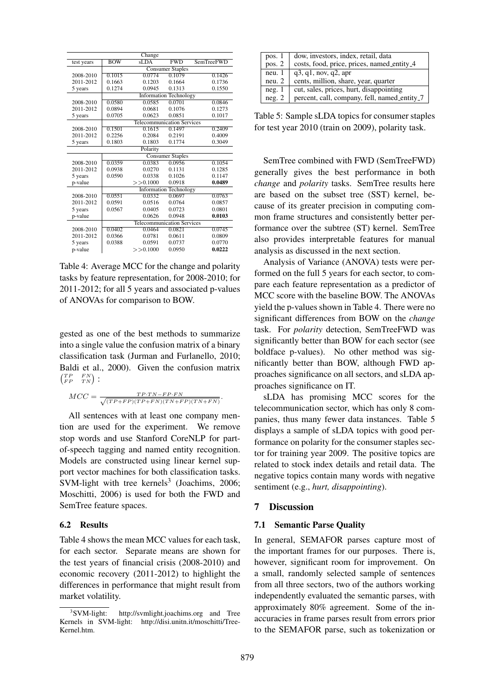|            |                                   | Change   |                               |                   |
|------------|-----------------------------------|----------|-------------------------------|-------------------|
| test years | <b>BOW</b>                        | sLDA     | <b>FWD</b>                    | <b>SemTreeFWD</b> |
|            | <b>Consumer Staples</b>           |          |                               |                   |
| 2008-2010  | 0.1015                            | 0.0774   | 0.1079                        | 0.1426            |
| 2011-2012  | 0.1663                            | 0.1203   | 0.1664                        | 0.1736            |
| 5 years    | 0.1274                            | 0.0945   | 0.1313                        | 0.1550            |
|            | <b>Information Technology</b>     |          |                               |                   |
| 2008-2010  | 0.0580                            | 0.0585   | 0.0701                        | 0.0846            |
| 2011-2012  | 0.0894                            | 0.0681   | 0.1076                        | 0.1273            |
| 5 years    | 0.0705                            | 0.0623   | 0.0851                        | 0.1017            |
|            | <b>Telecommunication Services</b> |          |                               |                   |
| 2008-2010  | 0.1501                            | 0.1615   | 0.1497                        | 0.2409            |
| 2011-2012  | 0.2256                            | 0.2084   | 0.2191                        | 0.4009            |
| 5 years    | 0.1803                            | 0.1803   | 0.1774                        | 0.3049            |
|            |                                   | Polarity |                               |                   |
|            | <b>Consumer Staples</b>           |          |                               |                   |
| 2008-2010  | 0.0359                            | 0.0383   | 0.0956                        | 0.1054            |
| 2011-2012  | 0.0938                            | 0.0270   | 0.1131                        | 0.1285            |
| 5 years    | 0.0590                            | 0.0338   | 0.1026                        | 0.1147            |
| p-value    |                                   | >>0.1000 | 0.0918                        | 0.0489            |
|            |                                   |          | <b>Information Technology</b> |                   |
| 2008-2010  | 0.0551                            | 0.0332   | 0.0697                        | 0.0763            |
| 2011-2012  | 0.0591                            | 0.0516   | 0.0764                        | 0.0857            |
| 5 years    | 0.0567                            | 0.0405   | 0.0723                        | 0.0801            |
| p-value    |                                   | 0.0626   | 0.0948                        | 0.0103            |
|            | <b>Telecommunication Services</b> |          |                               |                   |
| 2008-2010  | 0.0402                            | 0.0464   | 0.0821                        | 0.0745            |
| 2011-2012  | 0.0366                            | 0.0781   | 0.0611                        | 0.0809            |
| 5 years    | 0.0388                            | 0.0591   | 0.0737                        | 0.0770            |
| p-value    |                                   | >>0.1000 | 0.0950                        | 0.0222            |

Table 4: Average MCC for the change and polarity tasks by feature representation, for 2008-2010; for 2011-2012; for all 5 years and associated p-values of ANOVAs for comparison to BOW.

gested as one of the best methods to summarize into a single value the confusion matrix of a binary classification task (Jurman and Furlanello, 2010; Baldi et al., 2000). Given the confusion matrix  $\begin{pmatrix} TP & FN \\ FP & TN \end{pmatrix}$ :

$$
MCC = \frac{TP \cdot TN - FP \cdot FN}{\sqrt{(TP + FP)(TP + FN)(TN + FP)(TN + FN)}}.
$$

All sentences with at least one company mention are used for the experiment. We remove stop words and use Stanford CoreNLP for partof-speech tagging and named entity recognition. Models are constructed using linear kernel support vector machines for both classification tasks. SVM-light with tree kernels<sup>3</sup> (Joachims, 2006; Moschitti, 2006) is used for both the FWD and SemTree feature spaces.

### 6.2 Results

Table 4 shows the mean MCC values for each task, for each sector. Separate means are shown for the test years of financial crisis (2008-2010) and economic recovery (2011-2012) to highlight the differences in performance that might result from market volatility.

| pos. 1   | dow, investors, index, retail, data          |
|----------|----------------------------------------------|
| pos. $2$ | costs, food, price, prices, named_entity_4   |
| neu.1    | q3, q1, nov, q2, apr                         |
| neu. 2   | cents, million, share, year, quarter         |
| neg.1    | cut, sales, prices, hurt, disappointing      |
| neg. 2   | percent, call, company, fell, named_entity_7 |

Table 5: Sample sLDA topics for consumer staples for test year 2010 (train on 2009), polarity task.

SemTree combined with FWD (SemTreeFWD) generally gives the best performance in both *change* and *polarity* tasks. SemTree results here are based on the subset tree (SST) kernel, because of its greater precision in computing common frame structures and consistently better performance over the subtree (ST) kernel. SemTree also provides interpretable features for manual analysis as discussed in the next section.

Analysis of Variance (ANOVA) tests were performed on the full 5 years for each sector, to compare each feature representation as a predictor of MCC score with the baseline BOW. The ANOVAs yield the p-values shown in Table 4. There were no significant differences from BOW on the *change* task. For *polarity* detection, SemTreeFWD was significantly better than BOW for each sector (see boldface p-values). No other method was significantly better than BOW, although FWD approaches significance on all sectors, and sLDA approaches significance on IT.

sLDA has promising MCC scores for the telecommunication sector, which has only 8 companies, thus many fewer data instances. Table 5 displays a sample of sLDA topics with good performance on polarity for the consumer staples sector for training year 2009. The positive topics are related to stock index details and retail data. The negative topics contain many words with negative sentiment (e.g., *hurt, disappointing*).

### 7 Discussion

### 7.1 Semantic Parse Quality

In general, SEMAFOR parses capture most of the important frames for our purposes. There is, however, significant room for improvement. On a small, randomly selected sample of sentences from all three sectors, two of the authors working independently evaluated the semantic parses, with approximately 80% agreement. Some of the inaccuracies in frame parses result from errors prior to the SEMAFOR parse, such as tokenization or

 $3$ SVM-light: http://svmlight.joachims.org and Tree Kernels in SVM-light: http://disi.unitn.it/moschitti/Tree-Kernel.htm.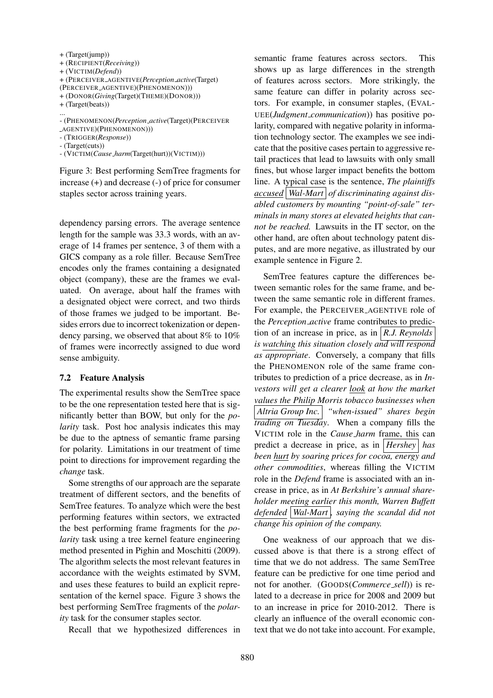| $+$ (Target(jump))                                 |
|----------------------------------------------------|
| $+$ (RECIPIENT( <i>Receiving</i> ))                |
| $+$ (VICTIM( <i>Defend</i> ))                      |
| + (PERCEIVER_AGENTIVE(Perception_active(Target)    |
| (PERCEIVER_AGENTIVE)(PHENOMENON)))                 |
| $+($ DONOR( <i>Giving</i> (Target)(THEME)(DONOR))) |
| $+$ (Target(beats))                                |

- (PHENOMENON(*Perception active*(Target)(PERCEIVER
- AGENTIVE)(PHENOMENON)))

- (TRIGGER(*Response*))

- (Target(cuts))

...

- (VICTIM(*Cause harm*(Target(hurt))(VICTIM)))

Figure 3: Best performing SemTree fragments for increase (+) and decrease (-) of price for consumer staples sector across training years.

dependency parsing errors. The average sentence length for the sample was 33.3 words, with an average of 14 frames per sentence, 3 of them with a GICS company as a role filler. Because SemTree encodes only the frames containing a designated object (company), these are the frames we evaluated. On average, about half the frames with a designated object were correct, and two thirds of those frames we judged to be important. Besides errors due to incorrect tokenization or dependency parsing, we observed that about 8% to 10% of frames were incorrectly assigned to due word sense ambiguity.

#### 7.2 Feature Analysis

The experimental results show the SemTree space to be the one representation tested here that is significantly better than BOW, but only for the *polarity* task. Post hoc analysis indicates this may be due to the aptness of semantic frame parsing for polarity. Limitations in our treatment of time point to directions for improvement regarding the *change* task.

Some strengths of our approach are the separate treatment of different sectors, and the benefits of SemTree features. To analyze which were the best performing features within sectors, we extracted the best performing frame fragments for the *polarity* task using a tree kernel feature engineering method presented in Pighin and Moschitti (2009). The algorithm selects the most relevant features in accordance with the weights estimated by SVM, and uses these features to build an explicit representation of the kernel space. Figure 3 shows the best performing SemTree fragments of the *polarity* task for the consumer staples sector.

Recall that we hypothesized differences in

semantic frame features across sectors. This shows up as large differences in the strength of features across sectors. More strikingly, the same feature can differ in polarity across sectors. For example, in consumer staples, (EVAL-UEE(*Judgment communication*)) has positive polarity, compared with negative polarity in information technology sector. The examples we see indicate that the positive cases pertain to aggressive retail practices that lead to lawsuits with only small fines, but whose larger impact benefits the bottom line. A typical case is the sentence, *The plaintiffs accused Wal-Mart of discriminating against disabled customers by mounting "point-of-sale" terminals in many stores at elevated heights that cannot be reached.* Lawsuits in the IT sector, on the other hand, are often about technology patent disputes, and are more negative, as illustrated by our example sentence in Figure 2.

SemTree features capture the differences between semantic roles for the same frame, and between the same semantic role in different frames. For example, the PERCEIVER AGENTIVE role of the *Perception active* frame contributes to prediction of an increase in price, as in *R.J. Reynolds is watching this situation closely and will respond as appropriate*. Conversely, a company that fills the PHENOMENON role of the same frame contributes to prediction of a price decrease, as in *Investors will get a clearer look at how the market values the Philip Morris tobacco businesses when Altria Group Inc. "when-issued" shares begin trading on Tuesday*. When a company fills the VICTIM role in the *Cause harm* frame, this can predict a decrease in price, as in *Hershey has been hurt by soaring prices for cocoa, energy and other commodities*, whereas filling the VICTIM role in the *Defend* frame is associated with an increase in price, as in *At Berkshire's annual shareholder meeting earlier this month, Warren Buffett defended Wal-Mart , saying the scandal did not change his opinion of the company.*

One weakness of our approach that we discussed above is that there is a strong effect of time that we do not address. The same SemTree feature can be predictive for one time period and not for another. (GOODS(*Commerce sell*)) is related to a decrease in price for 2008 and 2009 but to an increase in price for 2010-2012. There is clearly an influence of the overall economic context that we do not take into account. For example,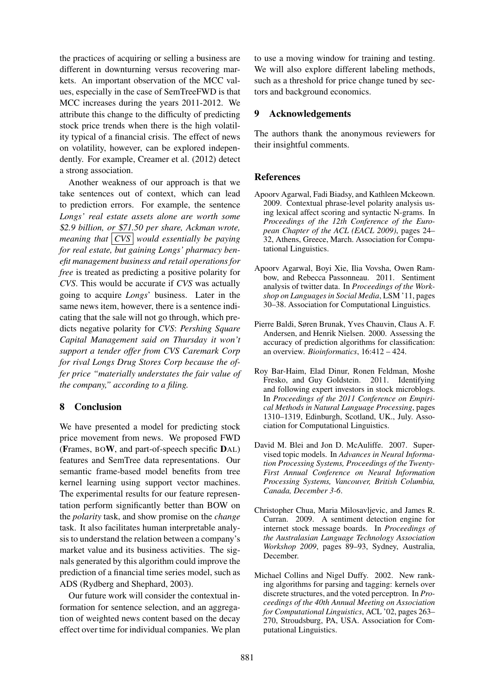the practices of acquiring or selling a business are different in downturning versus recovering markets. An important observation of the MCC values, especially in the case of SemTreeFWD is that MCC increases during the years 2011-2012. We attribute this change to the difficulty of predicting stock price trends when there is the high volatility typical of a financial crisis. The effect of news on volatility, however, can be explored independently. For example, Creamer et al. (2012) detect a strong association.

Another weakness of our approach is that we take sentences out of context, which can lead to prediction errors. For example, the sentence *Longs' real estate assets alone are worth some* \$*2.9 billion, or* \$*71.50 per share, Ackman wrote, meaning that CVS would essentially be paying for real estate, but gaining Longs' pharmacy benefit management business and retail operations for free* is treated as predicting a positive polarity for *CVS*. This would be accurate if *CVS* was actually going to acquire *Longs*' business. Later in the same news item, however, there is a sentence indicating that the sale will not go through, which predicts negative polarity for *CVS*: *Pershing Square Capital Management said on Thursday it won't support a tender offer from CVS Caremark Corp for rival Longs Drug Stores Corp because the offer price "materially understates the fair value of the company," according to a filing.*

# 8 Conclusion

We have presented a model for predicting stock price movement from news. We proposed FWD (Frames, BOW, and part-of-speech specific DAL) features and SemTree data representations. Our semantic frame-based model benefits from tree kernel learning using support vector machines. The experimental results for our feature representation perform significantly better than BOW on the *polarity* task, and show promise on the *change* task. It also facilitates human interpretable analysis to understand the relation between a company's market value and its business activities. The signals generated by this algorithm could improve the prediction of a financial time series model, such as ADS (Rydberg and Shephard, 2003).

Our future work will consider the contextual information for sentence selection, and an aggregation of weighted news content based on the decay effect over time for individual companies. We plan to use a moving window for training and testing. We will also explore different labeling methods, such as a threshold for price change tuned by sectors and background economics.

# 9 Acknowledgements

The authors thank the anonymous reviewers for their insightful comments.

# References

- Apoorv Agarwal, Fadi Biadsy, and Kathleen Mckeown. 2009. Contextual phrase-level polarity analysis using lexical affect scoring and syntactic N-grams. In *Proceedings of the 12th Conference of the European Chapter of the ACL (EACL 2009)*, pages 24– 32, Athens, Greece, March. Association for Computational Linguistics.
- Apoorv Agarwal, Boyi Xie, Ilia Vovsha, Owen Rambow, and Rebecca Passonneau. 2011. Sentiment analysis of twitter data. In *Proceedings of the Workshop on Languages in Social Media*, LSM '11, pages 30–38. Association for Computational Linguistics.
- Pierre Baldi, Søren Brunak, Yves Chauvin, Claus A. F. Andersen, and Henrik Nielsen. 2000. Assessing the accuracy of prediction algorithms for classification: an overview. *Bioinformatics*, 16:412 – 424.
- Roy Bar-Haim, Elad Dinur, Ronen Feldman, Moshe Fresko, and Guy Goldstein. 2011. Identifying and following expert investors in stock microblogs. In *Proceedings of the 2011 Conference on Empirical Methods in Natural Language Processing*, pages 1310–1319, Edinburgh, Scotland, UK., July. Association for Computational Linguistics.
- David M. Blei and Jon D. McAuliffe. 2007. Supervised topic models. In *Advances in Neural Information Processing Systems, Proceedings of the Twenty-First Annual Conference on Neural Information Processing Systems, Vancouver, British Columbia, Canada, December 3-6*.
- Christopher Chua, Maria Milosavljevic, and James R. Curran. 2009. A sentiment detection engine for internet stock message boards. In *Proceedings of the Australasian Language Technology Association Workshop 2009*, pages 89–93, Sydney, Australia, December.
- Michael Collins and Nigel Duffy. 2002. New ranking algorithms for parsing and tagging: kernels over discrete structures, and the voted perceptron. In *Proceedings of the 40th Annual Meeting on Association for Computational Linguistics*, ACL '02, pages 263– 270, Stroudsburg, PA, USA. Association for Computational Linguistics.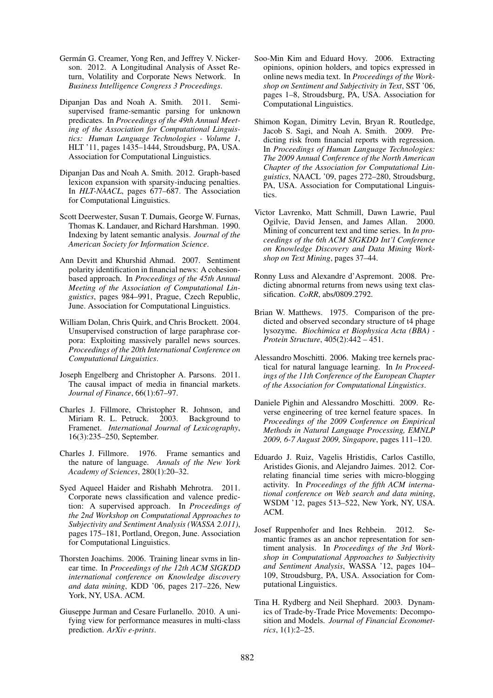- Germán G. Creamer, Yong Ren, and Jeffrey V. Nickerson. 2012. A Longitudinal Analysis of Asset Return, Volatility and Corporate News Network. In *Business Intelligence Congress 3 Proceedings*.
- Dipanjan Das and Noah A. Smith. 2011. Semisupervised frame-semantic parsing for unknown predicates. In *Proceedings of the 49th Annual Meeting of the Association for Computational Linguistics: Human Language Technologies - Volume 1*, HLT '11, pages 1435–1444, Stroudsburg, PA, USA. Association for Computational Linguistics.
- Dipanjan Das and Noah A. Smith. 2012. Graph-based lexicon expansion with sparsity-inducing penalties. In *HLT-NAACL*, pages 677–687. The Association for Computational Linguistics.
- Scott Deerwester, Susan T. Dumais, George W. Furnas, Thomas K. Landauer, and Richard Harshman. 1990. Indexing by latent semantic analysis. *Journal of the American Society for Information Science*.
- Ann Devitt and Khurshid Ahmad. 2007. Sentiment polarity identification in financial news: A cohesionbased approach. In *Proceedings of the 45th Annual Meeting of the Association of Computational Linguistics*, pages 984–991, Prague, Czech Republic, June. Association for Computational Linguistics.
- William Dolan, Chris Quirk, and Chris Brockett. 2004. Unsupervised construction of large paraphrase corpora: Exploiting massively parallel news sources. *Proceedings of the 20th International Conference on Computational Linguistics*.
- Joseph Engelberg and Christopher A. Parsons. 2011. The causal impact of media in financial markets. *Journal of Finance*, 66(1):67–97.
- Charles J. Fillmore, Christopher R. Johnson, and Miriam R. L. Petruck. 2003. Background to Framenet. *International Journal of Lexicography*, 16(3):235–250, September.
- Charles J. Fillmore. 1976. Frame semantics and the nature of language. *Annals of the New York Academy of Sciences*, 280(1):20–32.
- Syed Aqueel Haider and Rishabh Mehrotra. 2011. Corporate news classification and valence prediction: A supervised approach. In *Proceedings of the 2nd Workshop on Computational Approaches to Subjectivity and Sentiment Analysis (WASSA 2.011)*, pages 175–181, Portland, Oregon, June. Association for Computational Linguistics.
- Thorsten Joachims. 2006. Training linear svms in linear time. In *Proceedings of the 12th ACM SIGKDD international conference on Knowledge discovery and data mining*, KDD '06, pages 217–226, New York, NY, USA. ACM.
- Giuseppe Jurman and Cesare Furlanello. 2010. A unifying view for performance measures in multi-class prediction. *ArXiv e-prints*.
- Soo-Min Kim and Eduard Hovy. 2006. Extracting opinions, opinion holders, and topics expressed in online news media text. In *Proceedings of the Workshop on Sentiment and Subjectivity in Text*, SST '06, pages 1–8, Stroudsburg, PA, USA. Association for Computational Linguistics.
- Shimon Kogan, Dimitry Levin, Bryan R. Routledge, Jacob S. Sagi, and Noah A. Smith. 2009. Predicting risk from financial reports with regression. In *Proceedings of Human Language Technologies: The 2009 Annual Conference of the North American Chapter of the Association for Computational Linguistics*, NAACL '09, pages 272–280, Stroudsburg, PA, USA. Association for Computational Linguistics.
- Victor Lavrenko, Matt Schmill, Dawn Lawrie, Paul Ogilvie, David Jensen, and James Allan. 2000. Mining of concurrent text and time series. In *In proceedings of the 6th ACM SIGKDD Int'l Conference on Knowledge Discovery and Data Mining Workshop on Text Mining*, pages 37–44.
- Ronny Luss and Alexandre d'Aspremont. 2008. Predicting abnormal returns from news using text classification. *CoRR*, abs/0809.2792.
- Brian W. Matthews. 1975. Comparison of the predicted and observed secondary structure of t4 phage lysozyme. *Biochimica et Biophysica Acta (BBA) - Protein Structure*, 405(2):442 – 451.
- Alessandro Moschitti. 2006. Making tree kernels practical for natural language learning. In *In Proceedings of the 11th Conference of the European Chapter of the Association for Computational Linguistics*.
- Daniele Pighin and Alessandro Moschitti. 2009. Reverse engineering of tree kernel feature spaces. In *Proceedings of the 2009 Conference on Empirical Methods in Natural Language Processing, EMNLP 2009, 6-7 August 2009, Singapore*, pages 111–120.
- Eduardo J. Ruiz, Vagelis Hristidis, Carlos Castillo, Aristides Gionis, and Alejandro Jaimes. 2012. Correlating financial time series with micro-blogging activity. In *Proceedings of the fifth ACM international conference on Web search and data mining*, WSDM '12, pages 513–522, New York, NY, USA. ACM.
- Josef Ruppenhofer and Ines Rehbein. 2012. Semantic frames as an anchor representation for sentiment analysis. In *Proceedings of the 3rd Workshop in Computational Approaches to Subjectivity and Sentiment Analysis*, WASSA '12, pages 104– 109, Stroudsburg, PA, USA. Association for Computational Linguistics.
- Tina H. Rydberg and Neil Shephard. 2003. Dynamics of Trade-by-Trade Price Movements: Decomposition and Models. *Journal of Financial Econometrics*, 1(1):2–25.